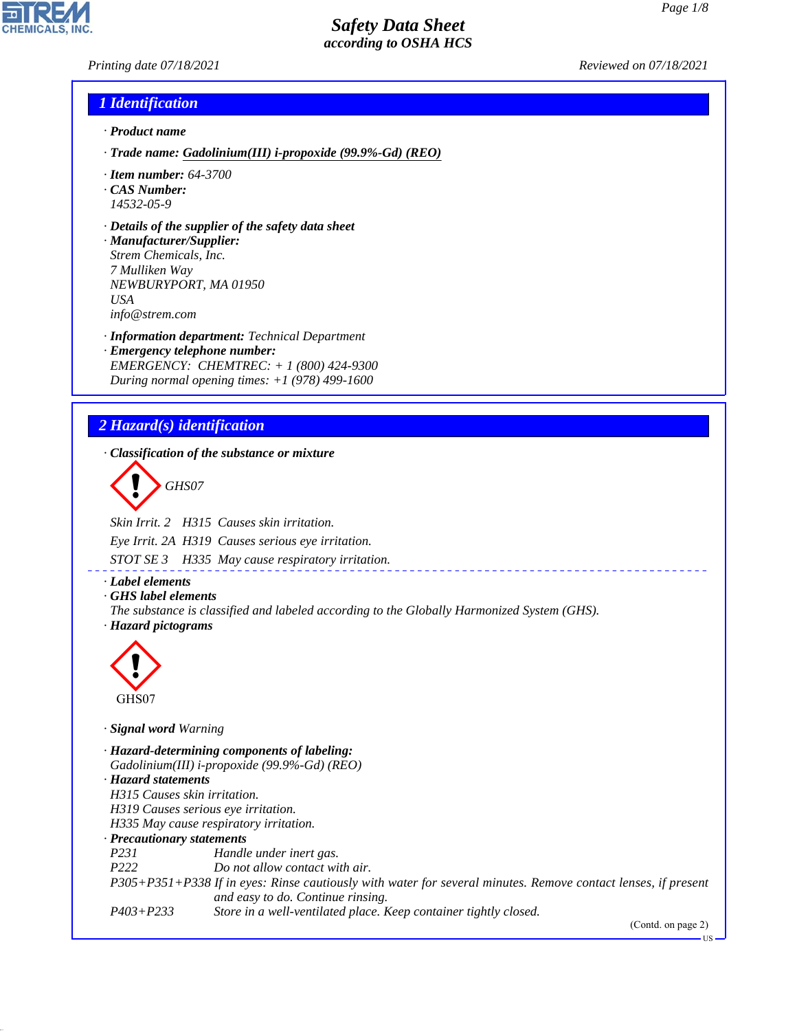*Printing date 07/18/2021 Reviewed on 07/18/2021*

### *1 Identification*

- *· Product name*
- *· Trade name: Gadolinium(III) i-propoxide (99.9%-Gd) (REO)*
- *· Item number: 64-3700*
- *· CAS Number: 14532-05-9*
- *· Details of the supplier of the safety data sheet*
- *· Manufacturer/Supplier: Strem Chemicals, Inc. 7 Mulliken Way NEWBURYPORT, MA 01950 USA info@strem.com*
- *· Information department: Technical Department · Emergency telephone number: EMERGENCY: CHEMTREC: + 1 (800) 424-9300 During normal opening times: +1 (978) 499-1600*

## *2 Hazard(s) identification*

*· Classification of the substance or mixture*

d~*GHS07*

*Skin Irrit. 2 H315 Causes skin irritation. Eye Irrit. 2A H319 Causes serious eye irritation.*

*STOT SE 3 H335 May cause respiratory irritation.*

- *· Label elements*
- *· GHS label elements*
- *The substance is classified and labeled according to the Globally Harmonized System (GHS). · Hazard pictograms*



44.1.1

*· Signal word Warning*

*· Hazard-determining components of labeling: Gadolinium(III) i-propoxide (99.9%-Gd) (REO) · Hazard statements H315 Causes skin irritation. H319 Causes serious eye irritation. H335 May cause respiratory irritation. · Precautionary statements P231 Handle under inert gas. P222 Do not allow contact with air. P305+P351+P338 If in eyes: Rinse cautiously with water for several minutes. Remove contact lenses, if present and easy to do. Continue rinsing. P403+P233 Store in a well-ventilated place. Keep container tightly closed.*

(Contd. on page 2)

US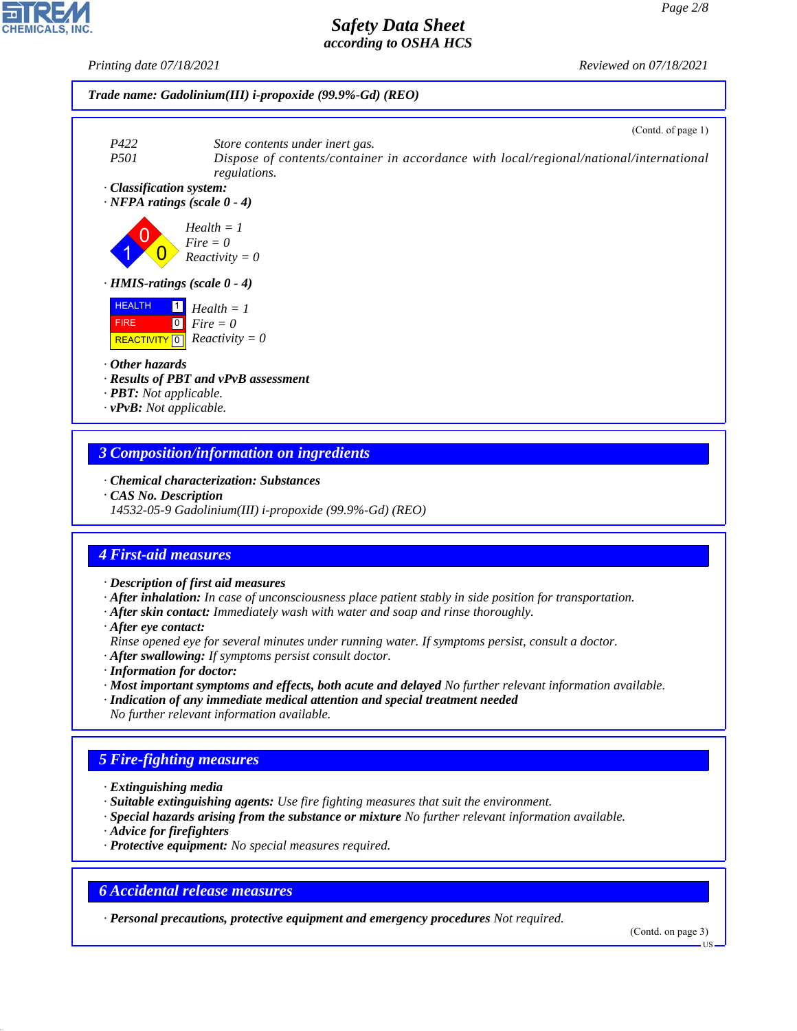*Printing date 07/18/2021 Reviewed on 07/18/2021*





1 0  $\overline{\mathbf{0}}$ *Health = 1 Fire = 0 Reactivity = 0*





*· Other hazards*

- *· Results of PBT and vPvB assessment*
- *· PBT: Not applicable.*
- *· vPvB: Not applicable.*

### *3 Composition/information on ingredients*

- *· Chemical characterization: Substances*
- *· CAS No. Description*
- *14532-05-9 Gadolinium(III) i-propoxide (99.9%-Gd) (REO)*

# *4 First-aid measures*

- *· Description of first aid measures*
- *· After inhalation: In case of unconsciousness place patient stably in side position for transportation.*
- *· After skin contact: Immediately wash with water and soap and rinse thoroughly.*
- *· After eye contact:*
- *Rinse opened eye for several minutes under running water. If symptoms persist, consult a doctor.*
- *· After swallowing: If symptoms persist consult doctor.*
- *· Information for doctor:*
- *· Most important symptoms and effects, both acute and delayed No further relevant information available.*
- *· Indication of any immediate medical attention and special treatment needed*
- *No further relevant information available.*

# *5 Fire-fighting measures*

- *· Extinguishing media*
- *· Suitable extinguishing agents: Use fire fighting measures that suit the environment.*
- *· Special hazards arising from the substance or mixture No further relevant information available.*
- *· Advice for firefighters*

44.1.1

*· Protective equipment: No special measures required.*

## *6 Accidental release measures*

*· Personal precautions, protective equipment and emergency procedures Not required.*

(Contd. on page 3)



### (Contd. of page 1)

US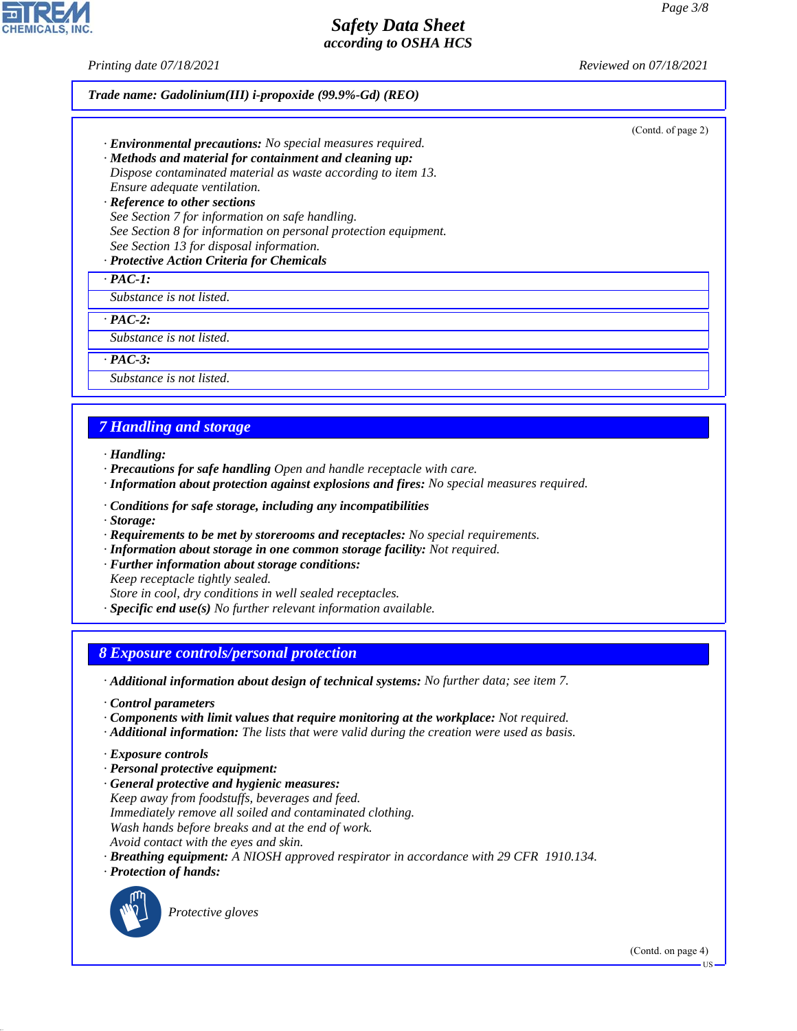*Printing date 07/18/2021 Reviewed on 07/18/2021*

(Contd. of page 2)

#### *Trade name: Gadolinium(III) i-propoxide (99.9%-Gd) (REO)*

- *· Environmental precautions: No special measures required.*
- *· Methods and material for containment and cleaning up: Dispose contaminated material as waste according to item 13. Ensure adequate ventilation.*
- *· Reference to other sections See Section 7 for information on safe handling. See Section 8 for information on personal protection equipment. See Section 13 for disposal information.*

### *· Protective Action Criteria for Chemicals*

*· PAC-1:*

*Substance is not listed.*

*· PAC-2:*

*Substance is not listed.*

*· PAC-3:*

*Substance is not listed.*

### *7 Handling and storage*

*· Handling:*

- *· Precautions for safe handling Open and handle receptacle with care.*
- *· Information about protection against explosions and fires: No special measures required.*
- *· Conditions for safe storage, including any incompatibilities*
- *· Storage:*
- *· Requirements to be met by storerooms and receptacles: No special requirements.*
- *· Information about storage in one common storage facility: Not required.*
- *· Further information about storage conditions:*

*Keep receptacle tightly sealed.*

*Store in cool, dry conditions in well sealed receptacles.*

*· Specific end use(s) No further relevant information available.*

### *8 Exposure controls/personal protection*

*· Additional information about design of technical systems: No further data; see item 7.*

- *· Control parameters*
- *· Components with limit values that require monitoring at the workplace: Not required.*
- *· Additional information: The lists that were valid during the creation were used as basis.*
- *· Exposure controls*
- *· Personal protective equipment:*
- *· General protective and hygienic measures: Keep away from foodstuffs, beverages and feed. Immediately remove all soiled and contaminated clothing. Wash hands before breaks and at the end of work. Avoid contact with the eyes and skin.*
- *· Breathing equipment: A NIOSH approved respirator in accordance with 29 CFR 1910.134.*
- *· Protection of hands:*



44.1.1

\_S*Protective gloves*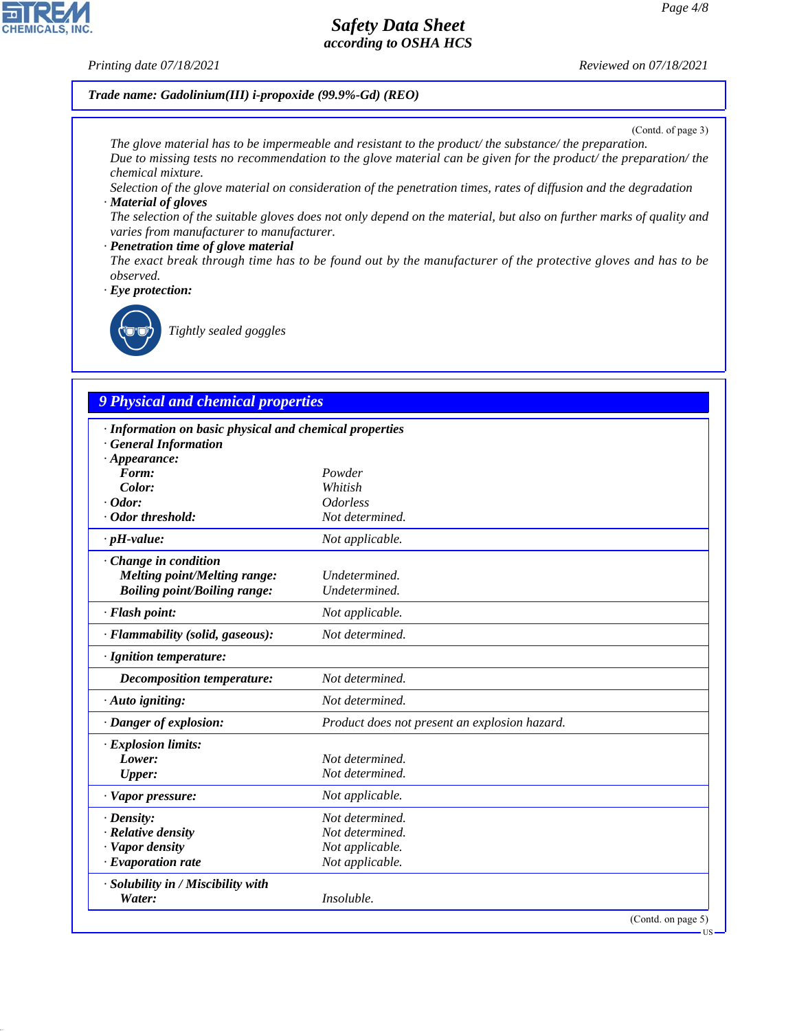### *Printing date 07/18/2021 Reviewed on 07/18/2021*

### *Trade name: Gadolinium(III) i-propoxide (99.9%-Gd) (REO)*

(Contd. of page 3)

*The glove material has to be impermeable and resistant to the product/ the substance/ the preparation. Due to missing tests no recommendation to the glove material can be given for the product/ the preparation/ the chemical mixture.*

*Selection of the glove material on consideration of the penetration times, rates of diffusion and the degradation · Material of gloves*

*The selection of the suitable gloves does not only depend on the material, but also on further marks of quality and varies from manufacturer to manufacturer.*

#### *· Penetration time of glove material*

*The exact break through time has to be found out by the manufacturer of the protective gloves and has to be observed.*

*· Eye protection:*



\_R*Tightly sealed goggles*

# *9 Physical and chemical properties*

| · Information on basic physical and chemical properties |                                               |     |
|---------------------------------------------------------|-----------------------------------------------|-----|
| <b>General Information</b>                              |                                               |     |
| $\cdot$ Appearance:<br>Form:                            | Powder                                        |     |
| Color:                                                  | Whitish                                       |     |
| $\cdot$ Odor:                                           | <i><u><b>Odorless</b></u></i>                 |     |
| · Odor threshold:                                       | Not determined.                               |     |
| $\cdot$ pH-value:                                       | Not applicable.                               |     |
| Change in condition                                     |                                               |     |
| <b>Melting point/Melting range:</b>                     | Undetermined.                                 |     |
| <b>Boiling point/Boiling range:</b>                     | Undetermined.                                 |     |
| · Flash point:                                          | Not applicable.                               |     |
| · Flammability (solid, gaseous):                        | Not determined.                               |     |
| · Ignition temperature:                                 |                                               |     |
| Decomposition temperature:                              | Not determined.                               |     |
| · Auto igniting:                                        | Not determined.                               |     |
| · Danger of explosion:                                  | Product does not present an explosion hazard. |     |
| · Explosion limits:                                     |                                               |     |
| Lower:                                                  | Not determined.                               |     |
| <b>Upper:</b>                                           | Not determined.                               |     |
| · Vapor pressure:                                       | Not applicable.                               |     |
| $\cdot$ Density:                                        | Not determined.                               |     |
| · Relative density                                      | Not determined.                               |     |
| · Vapor density                                         | Not applicable.                               |     |
| $\cdot$ Evaporation rate                                | Not applicable.                               |     |
| · Solubility in / Miscibility with                      |                                               |     |
| Water:                                                  | Insoluble.                                    |     |
|                                                         | (Contd. on page 5)                            | US- |



44.1.1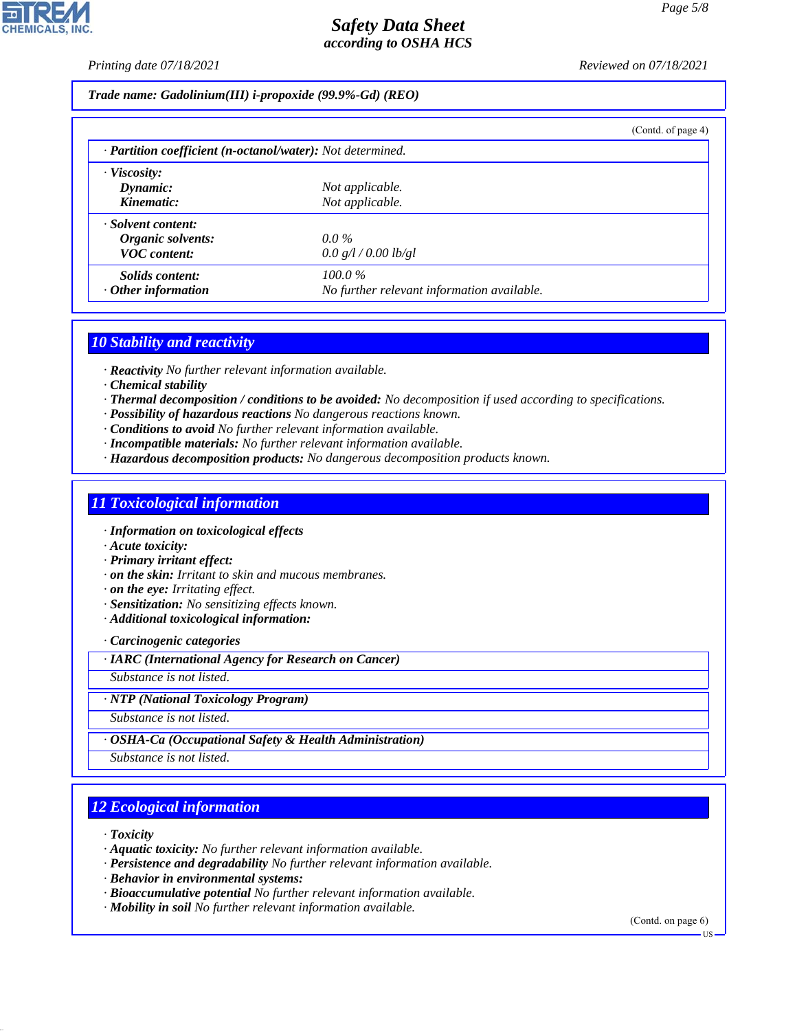*Printing date 07/18/2021 Reviewed on 07/18/2021*

*Trade name: Gadolinium(III) i-propoxide (99.9%-Gd) (REO)*

|                                                            |                                            | (Contd. of page 4) |
|------------------------------------------------------------|--------------------------------------------|--------------------|
| · Partition coefficient (n-octanol/water): Not determined. |                                            |                    |
| $\cdot$ Viscosity:                                         |                                            |                    |
| Dynamic:<br>Kinematic:                                     | Not applicable.<br>Not applicable.         |                    |
|                                                            |                                            |                    |
| · Solvent content:<br>Organic solvents:                    | $0.0\%$                                    |                    |
| <b>VOC</b> content:                                        | 0.0 g/l / 0.00 lb/gl                       |                    |
| Solids content:                                            | $100.0\%$                                  |                    |
| $\cdot$ Other information                                  | No further relevant information available. |                    |

### *10 Stability and reactivity*

*· Reactivity No further relevant information available.*

- *· Chemical stability*
- *· Thermal decomposition / conditions to be avoided: No decomposition if used according to specifications.*
- *· Possibility of hazardous reactions No dangerous reactions known.*
- *· Conditions to avoid No further relevant information available.*
- *· Incompatible materials: No further relevant information available.*
- *· Hazardous decomposition products: No dangerous decomposition products known.*

### *11 Toxicological information*

*· Information on toxicological effects*

*· Acute toxicity:*

*· Primary irritant effect:*

- *· on the skin: Irritant to skin and mucous membranes.*
- *· on the eye: Irritating effect.*
- *· Sensitization: No sensitizing effects known.*
- *· Additional toxicological information:*

*· Carcinogenic categories*

*· IARC (International Agency for Research on Cancer)*

*Substance is not listed.*

### *· NTP (National Toxicology Program)*

*Substance is not listed.*

### *· OSHA-Ca (Occupational Safety & Health Administration)*

*Substance is not listed.*

# *12 Ecological information*

*· Toxicity*

44.1.1

- *· Aquatic toxicity: No further relevant information available.*
- *· Persistence and degradability No further relevant information available.*
- *· Behavior in environmental systems:*
- *· Bioaccumulative potential No further relevant information available.*
- *· Mobility in soil No further relevant information available.*

(Contd. on page 6)



US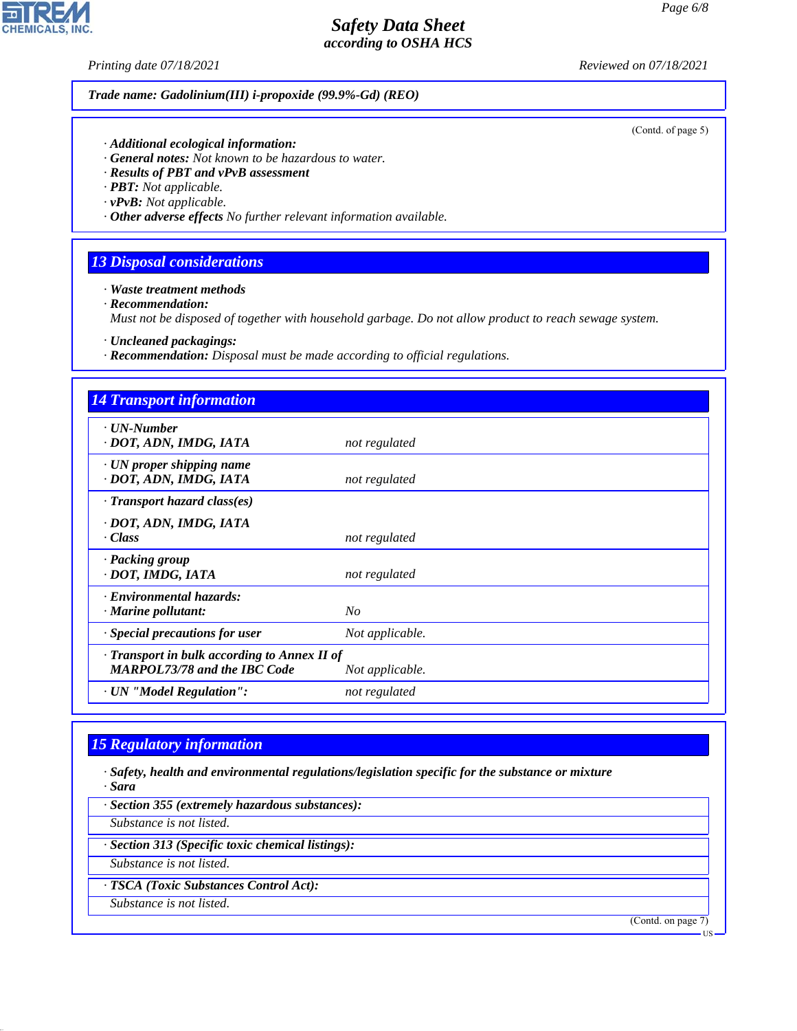(Contd. of page 5)

## *Safety Data Sheet according to OSHA HCS*

**CHEMICALS, INC.** 

*Printing date 07/18/2021 Reviewed on 07/18/2021*

*Trade name: Gadolinium(III) i-propoxide (99.9%-Gd) (REO)*

*· Additional ecological information:*

- *· General notes: Not known to be hazardous to water.*
- *· Results of PBT and vPvB assessment*
- *· PBT: Not applicable.*
- *· vPvB: Not applicable.*
- *· Other adverse effects No further relevant information available.*

## *13 Disposal considerations*

- *· Waste treatment methods*
- *· Recommendation:*

*Must not be disposed of together with household garbage. Do not allow product to reach sewage system.*

- *· Uncleaned packagings:*
- *· Recommendation: Disposal must be made according to official regulations.*

| <b>14 Transport information</b>                                                     |                 |  |
|-------------------------------------------------------------------------------------|-----------------|--|
| $\cdot$ UN-Number<br>· DOT, ADN, IMDG, IATA                                         | not regulated   |  |
| $\cdot$ UN proper shipping name<br>· DOT, ADN, IMDG, IATA                           | not regulated   |  |
| $\cdot$ Transport hazard class(es)                                                  |                 |  |
| · DOT, ADN, IMDG, IATA<br>$\cdot Class$                                             | not regulated   |  |
| · Packing group<br>· DOT, IMDG, IATA                                                | not regulated   |  |
| · Environmental hazards:<br>$\cdot$ Marine pollutant:                               | N <sub>O</sub>  |  |
| · Special precautions for user                                                      | Not applicable. |  |
| · Transport in bulk according to Annex II of<br><b>MARPOL73/78 and the IBC Code</b> | Not applicable. |  |
| · UN "Model Regulation":                                                            | not regulated   |  |

# *15 Regulatory information*

44.1.1

*· Safety, health and environmental regulations/legislation specific for the substance or mixture · Sara*

*· Section 355 (extremely hazardous substances): Substance is not listed. · Section 313 (Specific toxic chemical listings): Substance is not listed. · TSCA (Toxic Substances Control Act): Substance is not listed.* (Contd. on page 7) US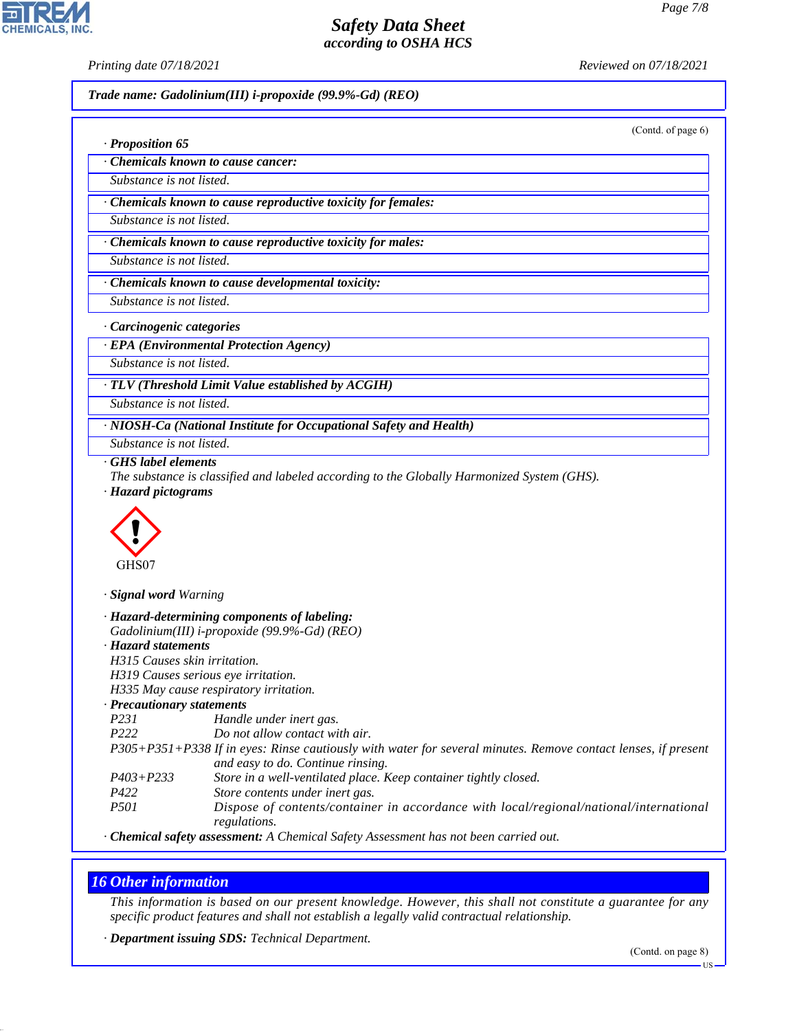**CHEMICALS, INC** 

*Printing date 07/18/2021 Reviewed on 07/18/2021*

*Trade name: Gadolinium(III) i-propoxide (99.9%-Gd) (REO)*

(Contd. of page 6)

| $\cdot$ Proposition 65           |  |
|----------------------------------|--|
| Chemicals known to cause cancer: |  |

*Substance is not listed.*

*· Chemicals known to cause reproductive toxicity for females:*

*Substance is not listed.*

*· Chemicals known to cause reproductive toxicity for males:*

*Substance is not listed.*

*· Chemicals known to cause developmental toxicity:*

*Substance is not listed.*

*· Carcinogenic categories*

*· EPA (Environmental Protection Agency)*

*Substance is not listed.*

*· TLV (Threshold Limit Value established by ACGIH)*

*Substance is not listed.*

*· NIOSH-Ca (National Institute for Occupational Safety and Health)*

*Substance is not listed.*

*· GHS label elements*

*The substance is classified and labeled according to the Globally Harmonized System (GHS). · Hazard pictograms*



*· Signal word Warning*

|                                  | · Hazard-determining components of labeling:                                                                  |
|----------------------------------|---------------------------------------------------------------------------------------------------------------|
|                                  | Gadolinium(III) i-propoxide (99.9%-Gd) (REO)                                                                  |
| · Hazard statements              |                                                                                                               |
| H315 Causes skin irritation.     |                                                                                                               |
|                                  | H319 Causes serious eye irritation.                                                                           |
|                                  | H335 May cause respiratory irritation.                                                                        |
| $\cdot$ Precautionary statements |                                                                                                               |
| <i>P231</i>                      | Handle under inert gas.                                                                                       |
| P <sub>222</sub>                 | Do not allow contact with air.                                                                                |
|                                  | P305+P351+P338 If in eyes: Rinse cautiously with water for several minutes. Remove contact lenses, if present |
|                                  | and easy to do. Continue rinsing.                                                                             |
| $P403 + P233$                    | Store in a well-ventilated place. Keep container tightly closed.                                              |
| P422                             | Store contents under inert gas.                                                                               |
| <i>P501</i>                      | Dispose of contents/container in accordance with local/regional/national/international<br>regulations.        |
|                                  |                                                                                                               |

*· Chemical safety assessment: A Chemical Safety Assessment has not been carried out.*

## *16 Other information*

44.1.1

*This information is based on our present knowledge. However, this shall not constitute a guarantee for any specific product features and shall not establish a legally valid contractual relationship.*

*· Department issuing SDS: Technical Department.*

US